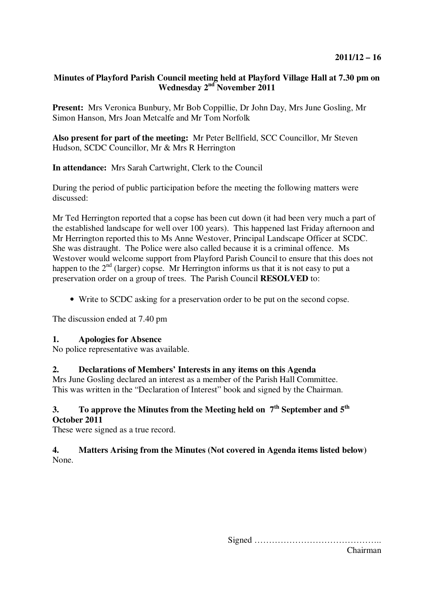# **Minutes of Playford Parish Council meeting held at Playford Village Hall at 7.30 pm on Wednesday 2nd November 2011**

**Present:** Mrs Veronica Bunbury, Mr Bob Coppillie, Dr John Day, Mrs June Gosling, Mr Simon Hanson, Mrs Joan Metcalfe and Mr Tom Norfolk

**Also present for part of the meeting:** Mr Peter Bellfield, SCC Councillor, Mr Steven Hudson, SCDC Councillor, Mr & Mrs R Herrington

**In attendance:** Mrs Sarah Cartwright, Clerk to the Council

During the period of public participation before the meeting the following matters were discussed:

Mr Ted Herrington reported that a copse has been cut down (it had been very much a part of the established landscape for well over 100 years). This happened last Friday afternoon and Mr Herrington reported this to Ms Anne Westover, Principal Landscape Officer at SCDC. She was distraught. The Police were also called because it is a criminal offence. Ms Westover would welcome support from Playford Parish Council to ensure that this does not happen to the  $2<sup>nd</sup>$  (larger) copse. Mr Herrington informs us that it is not easy to put a preservation order on a group of trees. The Parish Council **RESOLVED** to:

• Write to SCDC asking for a preservation order to be put on the second copse.

The discussion ended at 7.40 pm

#### **1. Apologies for Absence**

No police representative was available.

#### **2. Declarations of Members' Interests in any items on this Agenda**

Mrs June Gosling declared an interest as a member of the Parish Hall Committee. This was written in the "Declaration of Interest" book and signed by the Chairman.

# **3. To approve the Minutes from the Meeting held on 7th September and 5th October 2011**

These were signed as a true record.

# **4. Matters Arising from the Minutes (Not covered in Agenda items listed below)**  None.

Signed ……………………………………..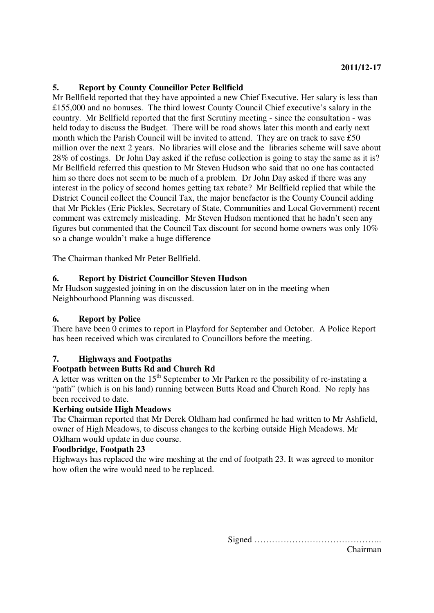### **5. Report by County Councillor Peter Bellfield**

Mr Bellfield reported that they have appointed a new Chief Executive. Her salary is less than £155,000 and no bonuses. The third lowest County Council Chief executive's salary in the country. Mr Bellfield reported that the first Scrutiny meeting - since the consultation - was held today to discuss the Budget. There will be road shows later this month and early next month which the Parish Council will be invited to attend. They are on track to save £50 million over the next 2 years. No libraries will close and the libraries scheme will save about 28% of costings. Dr John Day asked if the refuse collection is going to stay the same as it is? Mr Bellfield referred this question to Mr Steven Hudson who said that no one has contacted him so there does not seem to be much of a problem. Dr John Day asked if there was any interest in the policy of second homes getting tax rebate? Mr Bellfield replied that while the District Council collect the Council Tax, the major benefactor is the County Council adding that Mr Pickles (Eric Pickles, Secretary of State, Communities and Local Government) recent comment was extremely misleading. Mr Steven Hudson mentioned that he hadn't seen any figures but commented that the Council Tax discount for second home owners was only 10% so a change wouldn't make a huge difference

The Chairman thanked Mr Peter Bellfield.

### **6. Report by District Councillor Steven Hudson**

Mr Hudson suggested joining in on the discussion later on in the meeting when Neighbourhood Planning was discussed.

# **6. Report by Police**

There have been 0 crimes to report in Playford for September and October. A Police Report has been received which was circulated to Councillors before the meeting.

# **7. Highways and Footpaths**

#### **Footpath between Butts Rd and Church Rd**

A letter was written on the  $15<sup>th</sup>$  September to Mr Parken re the possibility of re-instating a "path" (which is on his land) running between Butts Road and Church Road. No reply has been received to date.

#### **Kerbing outside High Meadows**

The Chairman reported that Mr Derek Oldham had confirmed he had written to Mr Ashfield, owner of High Meadows, to discuss changes to the kerbing outside High Meadows. Mr Oldham would update in due course.

#### **Foodbridge, Footpath 23**

Highways has replaced the wire meshing at the end of footpath 23. It was agreed to monitor how often the wire would need to be replaced.

Signed ……………………………………..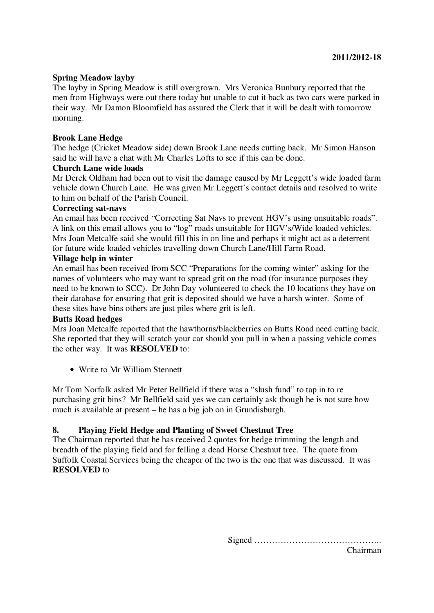#### **Spring Meadow layby**

The layby in Spring Meadow is still overgrown. Mrs Veronica Bunbury reported that the men from Highways were out there today but unable to cut it back as two cars were parked in their way. Mr Damon Bloomfield has assured the Clerk that it will be dealt with tomorrow morning.

### **Brook Lane Hedge**

The hedge (Cricket Meadow side) down Brook Lane needs cutting back. Mr Simon Hanson said he will have a chat with Mr Charles Lofts to see if this can be done.

#### **Church Lane wide loads**

Mr Derek Oldham had been out to visit the damage caused by Mr Leggett's wide loaded farm vehicle down Church Lane. He was given Mr Leggett's contact details and resolved to write to him on behalf of the Parish Council.

### **Correcting sat-navs**

An email has been received "Correcting Sat Navs to prevent HGV's using unsuitable roads". A link on this email allows you to "log" roads unsuitable for HGV's/Wide loaded vehicles. Mrs Joan Metcalfe said she would fill this in on line and perhaps it might act as a deterrent for future wide loaded vehicles travelling down Church Lane/Hill Farm Road.

#### **Village help in winter**

An email has been received from SCC "Preparations for the coming winter" asking for the names of volunteers who may want to spread grit on the road (for insurance purposes they need to be known to SCC). Dr John Day volunteered to check the 10 locations they have on their database for ensuring that grit is deposited should we have a harsh winter. Some of these sites have bins others are just piles where grit is left.

#### **Butts Road hedges**

Mrs Joan Metcalfe reported that the hawthorns/blackberries on Butts Road need cutting back. She reported that they will scratch your car should you pull in when a passing vehicle comes the other way. It was **RESOLVED** to:

• Write to Mr William Stennett

Mr Tom Norfolk asked Mr Peter Bellfield if there was a "slush fund" to tap in to re purchasing grit bins? Mr Bellfield said yes we can certainly ask though he is not sure how much is available at present – he has a big job on in Grundisburgh.

# **8. Playing Field Hedge and Planting of Sweet Chestnut Tree**

The Chairman reported that he has received 2 quotes for hedge trimming the length and breadth of the playing field and for felling a dead Horse Chestnut tree. The quote from Suffolk Coastal Services being the cheaper of the two is the one that was discussed. It was **RESOLVED** to

Signed ……………………………………..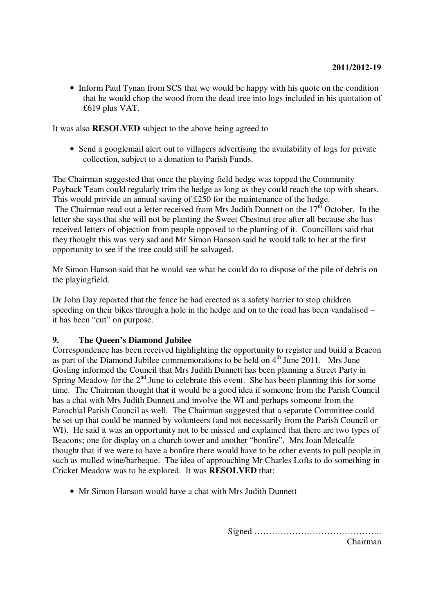• Inform Paul Tynan from SCS that we would be happy with his quote on the condition that he would chop the wood from the dead tree into logs included in his quotation of £619 plus VAT.

It was also **RESOLVED** subject to the above being agreed to

• Send a googlemail alert out to villagers advertising the availability of logs for private collection, subject to a donation to Parish Funds.

The Chairman suggested that once the playing field hedge was topped the Community Payback Team could regularly trim the hedge as long as they could reach the top with shears. This would provide an annual saving of £250 for the maintenance of the hedge.

The Chairman read out a letter received from Mrs Judith Dunnett on the  $17<sup>th</sup>$  October. In the letter she says that she will not be planting the Sweet Chestnut tree after all because she has received letters of objection from people opposed to the planting of it. Councillors said that they thought this was very sad and Mr Simon Hanson said he would talk to her at the first opportunity to see if the tree could still be salvaged.

Mr Simon Hanson said that he would see what he could do to dispose of the pile of debris on the playingfield.

Dr John Day reported that the fence he had erected as a safety barrier to stop children speeding on their bikes through a hole in the hedge and on to the road has been vandalised – it has been "cut" on purpose.

#### **9. The Queen's Diamond Jubilee**

Correspondence has been received highlighting the opportunity to register and build a Beacon as part of the Diamond Jubilee commemorations to be held on  $4<sup>th</sup>$  June 2011. Mrs June Gosling informed the Council that Mrs Judith Dunnett has been planning a Street Party in Spring Meadow for the  $2<sup>nd</sup>$  June to celebrate this event. She has been planning this for some time. The Chairman thought that it would be a good idea if someone from the Parish Council has a chat with Mrs Judith Dunnett and involve the WI and perhaps someone from the Parochial Parish Council as well. The Chairman suggested that a separate Committee could be set up that could be manned by volunteers (and not necessarily from the Parish Council or WI). He said it was an opportunity not to be missed and explained that there are two types of Beacons; one for display on a church tower and another "bonfire". Mrs Joan Metcalfe thought that if we were to have a bonfire there would have to be other events to pull people in such as mulled wine/barbeque. The idea of approaching Mr Charles Lofts to do something in Cricket Meadow was to be explored. It was **RESOLVED** that:

• Mr Simon Hanson would have a chat with Mrs Judith Dunnett

Signed ……………………………………..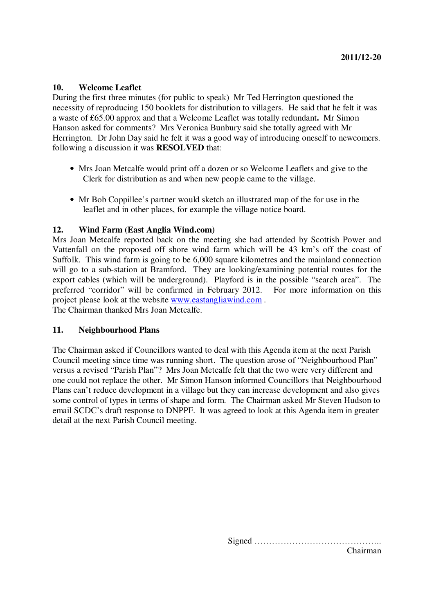#### **10. Welcome Leaflet**

During the first three minutes (for public to speak) Mr Ted Herrington questioned the necessity of reproducing 150 booklets for distribution to villagers. He said that he felt it was a waste of £65.00 approx and that a Welcome Leaflet was totally redundant**.** Mr Simon Hanson asked for comments? Mrs Veronica Bunbury said she totally agreed with Mr Herrington. Dr John Day said he felt it was a good way of introducing oneself to newcomers. following a discussion it was **RESOLVED** that:

- Mrs Joan Metcalfe would print off a dozen or so Welcome Leaflets and give to the Clerk for distribution as and when new people came to the village.
- Mr Bob Coppillee's partner would sketch an illustrated map of the for use in the leaflet and in other places, for example the village notice board.

#### **12. Wind Farm (East Anglia Wind.com)**

Mrs Joan Metcalfe reported back on the meeting she had attended by Scottish Power and Vattenfall on the proposed off shore wind farm which will be 43 km's off the coast of Suffolk. This wind farm is going to be 6,000 square kilometres and the mainland connection will go to a sub-station at Bramford. They are looking/examining potential routes for the export cables (which will be underground). Playford is in the possible "search area". The preferred "corridor" will be confirmed in February 2012. For more information on this preferred "corridor" will be confirmed in February 2012. project please look at the website www.eastangliawind.com . The Chairman thanked Mrs Joan Metcalfe.

### **11. Neighbourhood Plans**

The Chairman asked if Councillors wanted to deal with this Agenda item at the next Parish Council meeting since time was running short. The question arose of "Neighbourhood Plan" versus a revised "Parish Plan"? Mrs Joan Metcalfe felt that the two were very different and one could not replace the other. Mr Simon Hanson informed Councillors that Neighbourhood Plans can't reduce development in a village but they can increase development and also gives some control of types in terms of shape and form. The Chairman asked Mr Steven Hudson to email SCDC's draft response to DNPPF. It was agreed to look at this Agenda item in greater detail at the next Parish Council meeting.

Signed ……………………………………..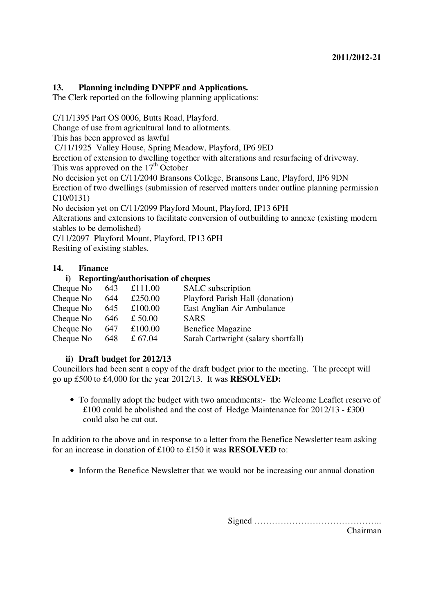### **13. Planning including DNPPF and Applications.**

The Clerk reported on the following planning applications:

C/11/1395 Part OS 0006, Butts Road, Playford.

Change of use from agricultural land to allotments.

This has been approved as lawful

C/11/1925 Valley House, Spring Meadow, Playford, IP6 9ED

Erection of extension to dwelling together with alterations and resurfacing of driveway.

This was approved on the  $17<sup>th</sup>$  October

No decision yet on C/11/2040 Bransons College, Bransons Lane, Playford, IP6 9DN

Erection of two dwellings (submission of reserved matters under outline planning permission C10/0131)

No decision yet on C/11/2099 Playford Mount, Playford, IP13 6PH

Alterations and extensions to facilitate conversion of outbuilding to annexe (existing modern stables to be demolished)

C/11/2097 Playford Mount, Playford, IP13 6PH

Resiting of existing stables.

#### **14. Finance**

#### **i) Reporting/authorisation of cheques**

| Cheque No | 643 | £111.00   | <b>SALC</b> subscription            |
|-----------|-----|-----------|-------------------------------------|
| Cheque No | 644 | £250.00   | Playford Parish Hall (donation)     |
| Cheque No | 645 | £100.00   | East Anglian Air Ambulance          |
| Cheque No | 646 | £ 50.00   | <b>SARS</b>                         |
| Cheque No | 647 | £100.00   | <b>Benefice Magazine</b>            |
| Cheque No | 648 | £ $67.04$ | Sarah Cartwright (salary shortfall) |

#### **ii) Draft budget for 2012/13**

Councillors had been sent a copy of the draft budget prior to the meeting. The precept will go up £500 to £4,000 for the year 2012/13. It was **RESOLVED:** 

• To formally adopt the budget with two amendments:- the Welcome Leaflet reserve of £100 could be abolished and the cost of Hedge Maintenance for 2012/13 - £300 could also be cut out.

In addition to the above and in response to a letter from the Benefice Newsletter team asking for an increase in donation of £100 to £150 it was **RESOLVED** to:

• Inform the Benefice Newsletter that we would not be increasing our annual donation

Signed ……………………………………..